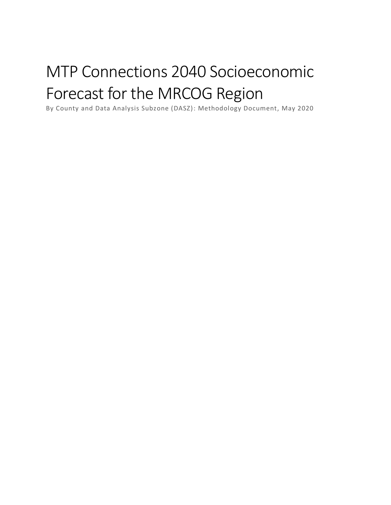# MTP Connections 2040 Socioeconomic Forecast for the MRCOG Region

By County and Data Analysis Subzone (DASZ): Methodology Document, May 2020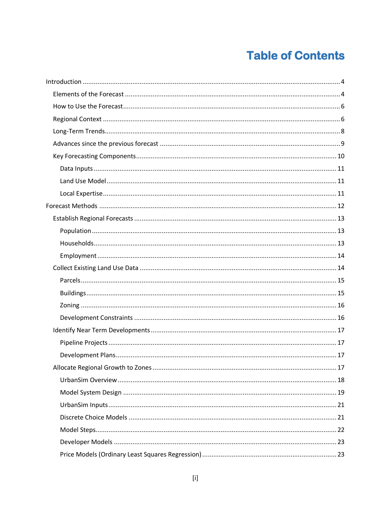# **Table of Contents**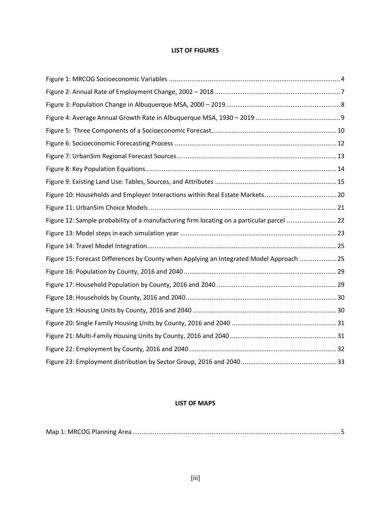#### **LIST OF FIGURES**

| Figure 12: Sample probability of a manufacturing firm locating on a particular parcel  22 |  |
|-------------------------------------------------------------------------------------------|--|
|                                                                                           |  |
|                                                                                           |  |
| Figure 15: Forecast Differences by County when Applying an Integrated Model Approach  25  |  |
|                                                                                           |  |
|                                                                                           |  |
|                                                                                           |  |
|                                                                                           |  |
|                                                                                           |  |
|                                                                                           |  |
|                                                                                           |  |
|                                                                                           |  |

#### **LIST OF MAPS**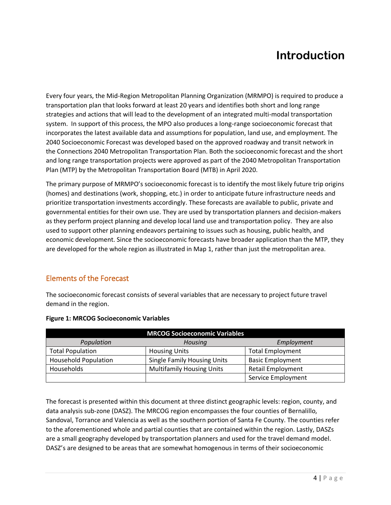# **Introduction**

<span id="page-4-0"></span>Every four years, the Mid-Region Metropolitan Planning Organization (MRMPO) is required to produce a transportation plan that looks forward at least 20 years and identifies both short and long range strategies and actions that will lead to the development of an integrated multi-modal transportation system. In support of this process, the MPO also produces a long-range socioeconomic forecast that incorporates the latest available data and assumptions for population, land use, and employment. The 2040 Socioeconomic Forecast was developed based on the approved roadway and transit network in the Connections 2040 Metropolitan Transportation Plan. Both the socioeconomic forecast and the short and long range transportation projects were approved as part of the 2040 Metropolitan Transportation Plan (MTP) by the Metropolitan Transportation Board (MTB) in April 2020.

The primary purpose of MRMPO's socioeconomic forecast is to identify the most likely future trip origins (homes) and destinations (work, shopping, etc.) in order to anticipate future infrastructure needs and prioritize transportation investments accordingly. These forecasts are available to public, private and governmental entities for their own use. They are used by transportation planners and decision-makers as they perform project planning and develop local land use and transportation policy. They are also used to support other planning endeavors pertaining to issues such as housing, public health, and economic development. Since the socioeconomic forecasts have broader application than the MTP, they are developed for the whole region as illustrated in Map 1, rather than just the metropolitan area.

# <span id="page-4-1"></span>Elements of the Forecast

The socioeconomic forecast consists of several variables that are necessary to project future travel demand in the region.

| <b>MRCOG Socioeconomic Variables</b> |                                    |                          |  |  |
|--------------------------------------|------------------------------------|--------------------------|--|--|
| Population                           | Housing                            | Employment               |  |  |
| <b>Total Population</b>              | <b>Housing Units</b>               | <b>Total Employment</b>  |  |  |
| <b>Household Population</b>          | <b>Single Family Housing Units</b> | <b>Basic Employment</b>  |  |  |
| Households                           | <b>Multifamily Housing Units</b>   | <b>Retail Employment</b> |  |  |
|                                      |                                    | Service Employment       |  |  |

#### <span id="page-4-2"></span>**Figure 1: MRCOG Socioeconomic Variables**

The forecast is presented within this document at three distinct geographic levels: region, county, and data analysis sub-zone (DASZ). The MRCOG region encompasses the four counties of Bernalillo, Sandoval, Torrance and Valencia as well as the southern portion of Santa Fe County. The counties refer to the aforementioned whole and partial counties that are contained within the region. Lastly, DASZs are a small geography developed by transportation planners and used for the travel demand model. DASZ's are designed to be areas that are somewhat homogenous in terms of their socioeconomic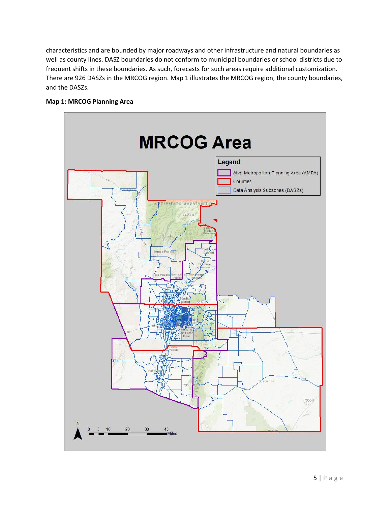characteristics and are bounded by major roadways and other infrastructure and natural boundaries as well as county lines. DASZ boundaries do not conform to municipal boundaries or school districts due to frequent shifts in these boundaries. As such, forecasts for such areas require additional customization. There are 926 DASZs in the MRCOG region. Map 1 illustrates the MRCOG region, the county boundaries, and the DASZs.



#### <span id="page-5-0"></span>**Map 1: MRCOG Planning Area**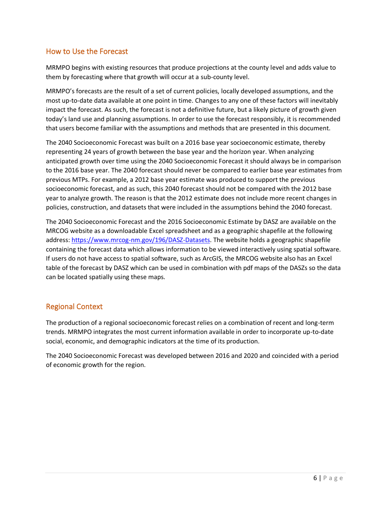# <span id="page-6-0"></span>How to Use the Forecast

MRMPO begins with existing resources that produce projections at the county level and adds value to them by forecasting where that growth will occur at a sub-county level.

MRMPO's forecasts are the result of a set of current policies, locally developed assumptions, and the most up-to-date data available at one point in time. Changes to any one of these factors will inevitably impact the forecast. As such, the forecast is not a definitive future, but a likely picture of growth given today's land use and planning assumptions. In order to use the forecast responsibly, it is recommended that users become familiar with the assumptions and methods that are presented in this document.

The 2040 Socioeconomic Forecast was built on a 2016 base year socioeconomic estimate, thereby representing 24 years of growth between the base year and the horizon year. When analyzing anticipated growth over time using the 2040 Socioeconomic Forecast it should always be in comparison to the 2016 base year. The 2040 forecast should never be compared to earlier base year estimates from previous MTPs. For example, a 2012 base year estimate was produced to support the previous socioeconomic forecast, and as such, this 2040 forecast should not be compared with the 2012 base year to analyze growth. The reason is that the 2012 estimate does not include more recent changes in policies, construction, and datasets that were included in the assumptions behind the 2040 forecast.

The 2040 Socioeconomic Forecast and the 2016 Socioeconomic Estimate by DASZ are available on the MRCOG website as a downloadable Excel spreadsheet and as a geographic shapefile at the following address: [https://www.mrcog-nm.gov/196/DASZ-Datasets.](https://www.mrcog-nm.gov/196/DASZ-Datasets) The website holds a geographic shapefile containing the forecast data which allows information to be viewed interactively using spatial software. If users do not have access to spatial software, such as ArcGIS, the MRCOG website also has an Excel table of the forecast by DASZ which can be used in combination with pdf maps of the DASZs so the data can be located spatially using these maps.

# <span id="page-6-1"></span>Regional Context

The production of a regional socioeconomic forecast relies on a combination of recent and long-term trends. MRMPO integrates the most current information available in order to incorporate up-to-date social, economic, and demographic indicators at the time of its production.

The 2040 Socioeconomic Forecast was developed between 2016 and 2020 and coincided with a period of economic growth for the region.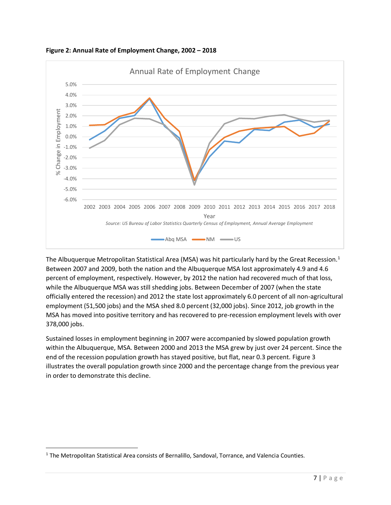

<span id="page-7-0"></span>**Figure 2: Annual Rate of Employment Change, 2002 – 2018**

The Albuquerque Metropolitan Statistical Area (MSA) was hit particularly hard by the Great Recession.<sup>1</sup> Between 2007 and 2009, both the nation and the Albuquerque MSA lost approximately 4.9 and 4.6 percent of employment, respectively. However, by 2012 the nation had recovered much of that loss, while the Albuquerque MSA was still shedding jobs. Between December of 2007 (when the state officially entered the recession) and 2012 the state lost approximately 6.0 percent of all non-agricultural employment (51,500 jobs) and the MSA shed 8.0 percent (32,000 jobs). Since 2012, job growth in the MSA has moved into positive territory and has recovered to pre-recession employment levels with over 378,000 jobs.

Sustained losses in employment beginning in 2007 were accompanied by slowed population growth within the Albuquerque, MSA. Between 2000 and 2013 the MSA grew by just over 24 percent. Since the end of the recession population growth has stayed positive, but flat, near 0.3 percent. Figure 3 illustrates the overall population growth since 2000 and the percentage change from the previous year in order to demonstrate this decline.

<sup>1</sup> The Metropolitan Statistical Area consists of Bernalillo, Sandoval, Torrance, and Valencia Counties.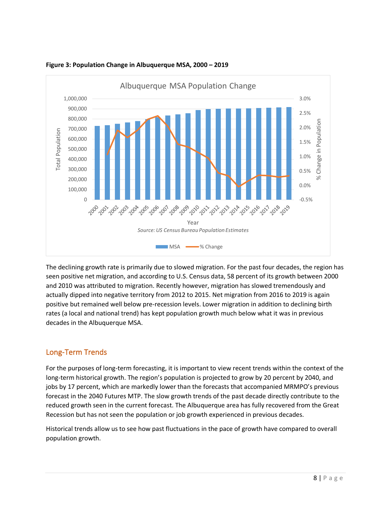

<span id="page-8-1"></span>**Figure 3: Population Change in Albuquerque MSA, 2000 – 2019**

The declining growth rate is primarily due to slowed migration. For the past four decades, the region has seen positive net migration, and according to U.S. Census data, 58 percent of its growth between 2000 and 2010 was attributed to migration. Recently however, migration has slowed tremendously and actually dipped into negative territory from 2012 to 2015. Net migration from 2016 to 2019 is again positive but remained well below pre-recession levels. Lower migration in addition to declining birth rates (a local and national trend) has kept population growth much below what it was in previous decades in the Albuquerque MSA.

# <span id="page-8-0"></span>Long-Term Trends

For the purposes of long-term forecasting, it is important to view recent trends within the context of the long-term historical growth. The region's population is projected to grow by 20 percent by 2040, and jobs by 17 percent, which are markedly lower than the forecasts that accompanied MRMPO's previous forecast in the 2040 Futures MTP. The slow growth trends of the past decade directly contribute to the reduced growth seen in the current forecast. The Albuquerque area has fully recovered from the Great Recession but has not seen the population or job growth experienced in previous decades.

Historical trends allow us to see how past fluctuations in the pace of growth have compared to overall population growth.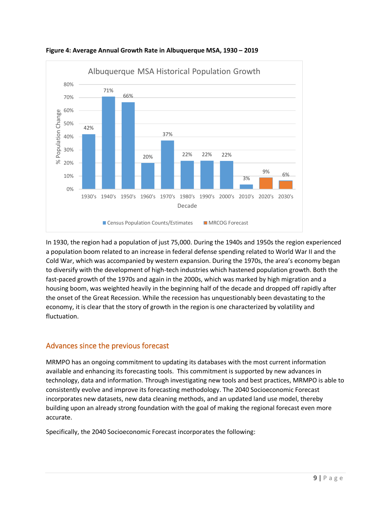

<span id="page-9-1"></span>**Figure 4: Average Annual Growth Rate in Albuquerque MSA, 1930 – 2019**

In 1930, the region had a population of just 75,000. During the 1940s and 1950s the region experienced a population boom related to an increase in federal defense spending related to World War II and the Cold War, which was accompanied by western expansion. During the 1970s, the area's economy began to diversify with the development of high-tech industries which hastened population growth. Both the fast-paced growth of the 1970s and again in the 2000s, which was marked by high migration and a housing boom, was weighted heavily in the beginning half of the decade and dropped off rapidly after the onset of the Great Recession. While the recession has unquestionably been devastating to the economy, it is clear that the story of growth in the region is one characterized by volatility and fluctuation.

# <span id="page-9-0"></span>Advances since the previous forecast

MRMPO has an ongoing commitment to updating its databases with the most current information available and enhancing its forecasting tools. This commitment is supported by new advances in technology, data and information. Through investigating new tools and best practices, MRMPO is able to consistently evolve and improve its forecasting methodology. The 2040 Socioeconomic Forecast incorporates new datasets, new data cleaning methods, and an updated land use model, thereby building upon an already strong foundation with the goal of making the regional forecast even more accurate.

Specifically, the 2040 Socioeconomic Forecast incorporates the following: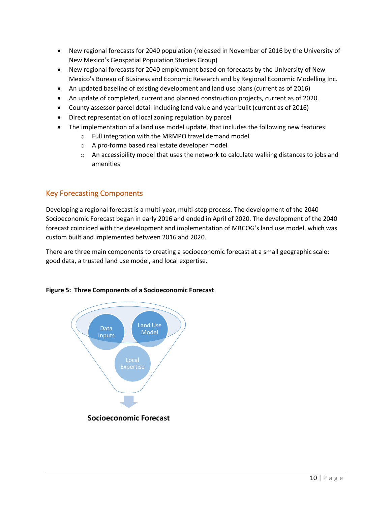- New regional forecasts for 2040 population (released in November of 2016 by the University of New Mexico's Geospatial Population Studies Group)
- New regional forecasts for 2040 employment based on forecasts by the University of New Mexico's Bureau of Business and Economic Research and by Regional Economic Modelling Inc.
- An updated baseline of existing development and land use plans (current as of 2016)
- An update of completed, current and planned construction projects, current as of 2020.
- County assessor parcel detail including land value and year built (current as of 2016)
- Direct representation of local zoning regulation by parcel
- The implementation of a land use model update, that includes the following new features:
	- o Full integration with the MRMPO travel demand model
	- o A pro-forma based real estate developer model
	- $\circ$  An accessibility model that uses the network to calculate walking distances to jobs and amenities

# <span id="page-10-0"></span>Key Forecasting Components

Developing a regional forecast is a multi-year, multi-step process. The development of the 2040 Socioeconomic Forecast began in early 2016 and ended in April of 2020. The development of the 2040 forecast coincided with the development and implementation of MRCOG's land use model, which was custom built and implemented between 2016 and 2020.

There are three main components to creating a socioeconomic forecast at a small geographic scale: good data, a trusted land use model, and local expertise.



#### <span id="page-10-1"></span>**Figure 5: Three Components of a Socioeconomic Forecast**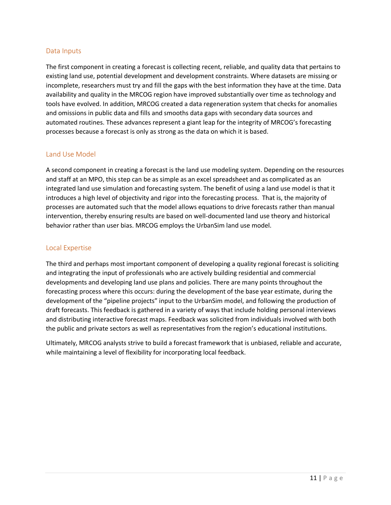#### <span id="page-11-0"></span>Data Inputs

The first component in creating a forecast is collecting recent, reliable, and quality data that pertains to existing land use, potential development and development constraints. Where datasets are missing or incomplete, researchers must try and fill the gaps with the best information they have at the time. Data availability and quality in the MRCOG region have improved substantially over time as technology and tools have evolved. In addition, MRCOG created a data regeneration system that checks for anomalies and omissions in public data and fills and smooths data gaps with secondary data sources and automated routines. These advances represent a giant leap for the integrity of MRCOG's forecasting processes because a forecast is only as strong as the data on which it is based.

#### <span id="page-11-1"></span>Land Use Model

A second component in creating a forecast is the land use modeling system. Depending on the resources and staff at an MPO, this step can be as simple as an excel spreadsheet and as complicated as an integrated land use simulation and forecasting system. The benefit of using a land use model is that it introduces a high level of objectivity and rigor into the forecasting process. That is, the majority of processes are automated such that the model allows equations to drive forecasts rather than manual intervention, thereby ensuring results are based on well-documented land use theory and historical behavior rather than user bias. MRCOG employs the UrbanSim land use model.

#### <span id="page-11-2"></span>Local Expertise

The third and perhaps most important component of developing a quality regional forecast is soliciting and integrating the input of professionals who are actively building residential and commercial developments and developing land use plans and policies. There are many points throughout the forecasting process where this occurs: during the development of the base year estimate, during the development of the "pipeline projects" input to the UrbanSim model, and following the production of draft forecasts. This feedback is gathered in a variety of ways that include holding personal interviews and distributing interactive forecast maps. Feedback was solicited from individuals involved with both the public and private sectors as well as representatives from the region's educational institutions.

Ultimately, MRCOG analysts strive to build a forecast framework that is unbiased, reliable and accurate, while maintaining a level of flexibility for incorporating local feedback.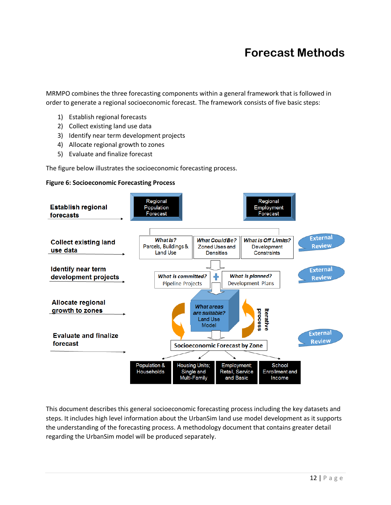# **Forecast Methods**

<span id="page-12-0"></span>MRMPO combines the three forecasting components within a general framework that is followed in order to generate a regional socioeconomic forecast. The framework consists of five basic steps:

- 1) Establish regional forecasts
- 2) Collect existing land use data
- 3) Identify near term development projects
- 4) Allocate regional growth to zones
- 5) Evaluate and finalize forecast

The figure below illustrates the socioeconomic forecasting process.

#### <span id="page-12-1"></span>**Figure 6: Socioeconomic Forecasting Process**



This document describes this general socioeconomic forecasting process including the key datasets and steps. It includes high level information about the UrbanSim land use model development as it supports the understanding of the forecasting process. A methodology document that contains greater detail regarding the UrbanSim model will be produced separately.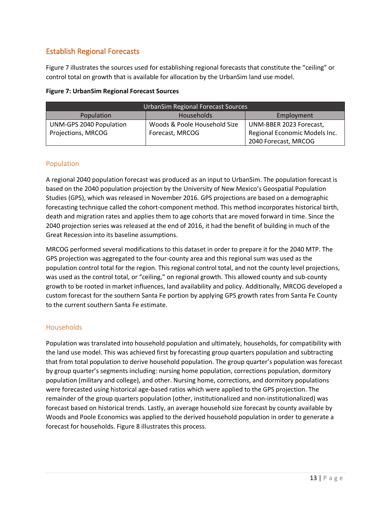# <span id="page-13-0"></span>Establish Regional Forecasts

Figure 7 illustrates the sources used for establishing regional forecasts that constitute the "ceiling" or control total on growth that is available for allocation by the UrbanSim land use model.

<span id="page-13-3"></span>

|  |  | <b>Figure 7: UrbanSim Regional Forecast Sources</b> |  |  |  |
|--|--|-----------------------------------------------------|--|--|--|
|--|--|-----------------------------------------------------|--|--|--|

| <b>UrbanSim Regional Forecast Sources</b>     |                              |                               |  |  |
|-----------------------------------------------|------------------------------|-------------------------------|--|--|
| Population<br><b>Households</b><br>Employment |                              |                               |  |  |
| UNM-GPS 2040 Population                       | Woods & Poole Household Size | UNM-BBER 2023 Forecast,       |  |  |
| Projections, MRCOG<br>Forecast, MRCOG         |                              | Regional Economic Models Inc. |  |  |
| 2040 Forecast, MRCOG                          |                              |                               |  |  |

#### <span id="page-13-1"></span>Population

A regional 2040 population forecast was produced as an input to UrbanSim. The population forecast is based on the 2040 population projection by the University of New Mexico's Geospatial Population Studies (GPS), which was released in November 2016. GPS projections are based on a demographic forecasting technique called the cohort-component method. This method incorporates historical birth, death and migration rates and applies them to age cohorts that are moved forward in time. Since the 2040 projection series was released at the end of 2016, it had the benefit of building in much of the Great Recession into its baseline assumptions.

MRCOG performed several modifications to this dataset in order to prepare it for the 2040 MTP. The GPS projection was aggregated to the four-county area and this regional sum was used as the population control total for the region. This regional control total, and not the county level projections, was used as the control total, or "ceiling," on regional growth. This allowed county and sub-county growth to be rooted in market influences, land availability and policy. Additionally, MRCOG developed a custom forecast for the southern Santa Fe portion by applying GPS growth rates from Santa Fe County to the current southern Santa Fe estimate.

#### <span id="page-13-2"></span>Households

Population was translated into household population and ultimately, households, for compatibility with the land use model. This was achieved first by forecasting group quarters population and subtracting that from total population to derive household population. The group quarter's population was forecast by group quarter's segments including: nursing home population, corrections population, dormitory population (military and college), and other. Nursing home, corrections, and dormitory populations were forecasted using historical age-based ratios which were applied to the GPS projection. The remainder of the group quarters population (other, institutionalized and non-institutionalized) was forecast based on historical trends. Lastly, an average household size forecast by county available by Woods and Poole Economics was applied to the derived household population in order to generate a forecast for households. Figure 8 illustrates this process.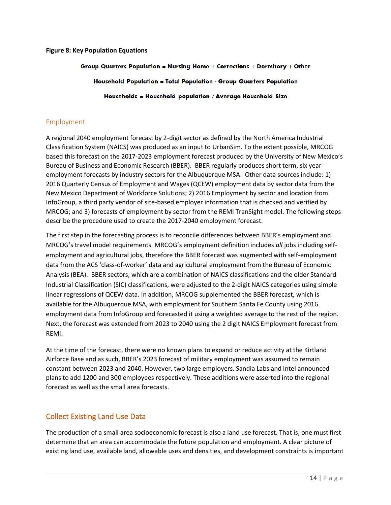#### <span id="page-14-2"></span>**Figure 8: Key Population Equations**

# Group Quarters Population = Nursing Home + Corrections + Dormitory + Other Household Population = Total Population - Group Quarters Population Households = Household population / Average Household Size

#### <span id="page-14-0"></span>Employment

A regional 2040 employment forecast by 2-digit sector as defined by the North America Industrial Classification System (NAICS) was produced as an input to UrbanSim. To the extent possible, MRCOG based this forecast on the 2017-2023 employment forecast produced by the University of New Mexico's Bureau of Business and Economic Research (BBER). BBER regularly produces short term, six year employment forecasts by industry sectors for the Albuquerque MSA. Other data sources include: 1) 2016 Quarterly Census of Employment and Wages (QCEW) employment data by sector data from the New Mexico Department of Workforce Solutions; 2) 2016 Employment by sector and location from InfoGroup, a third party vendor of site-based employer information that is checked and verified by MRCOG; and 3) forecasts of employment by sector from the REMI TranSight model. The following steps describe the procedure used to create the 2017-2040 employment forecast.

The first step in the forecasting process is to reconcile differences between BBER's employment and MRCOG's travel model requirements. MRCOG's employment definition includes *all* jobs including selfemployment and agricultural jobs, therefore the BBER forecast was augmented with self-employment data from the ACS 'class-of-worker' data and agricultural employment from the Bureau of Economic Analysis (BEA). BBER sectors, which are a combination of NAICS classifications and the older Standard Industrial Classification (SIC) classifications, were adjusted to the 2-digit NAICS categories using simple linear regressions of QCEW data. In addition, MRCOG supplemented the BBER forecast, which is available for the Albuquerque MSA, with employment for Southern Santa Fe County using 2016 employment data from InfoGroup and forecasted it using a weighted average to the rest of the region. Next, the forecast was extended from 2023 to 2040 using the 2 digit NAICS Employment forecast from REMI.

At the time of the forecast, there were no known plans to expand or reduce activity at the Kirtland Airforce Base and as such, BBER's 2023 forecast of military employment was assumed to remain constant between 2023 and 2040. However, two large employers, Sandia Labs and Intel announced plans to add 1200 and 300 employees respectively. These additions were asserted into the regional forecast as well as the small area forecasts.

# <span id="page-14-1"></span>Collect Existing Land Use Data

The production of a small area socioeconomic forecast is also a land use forecast. That is, one must first determine that an area can accommodate the future population and employment. A clear picture of existing land use, available land, allowable uses and densities, and development constraints is important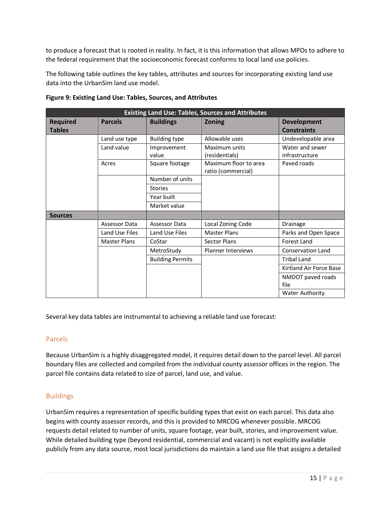to produce a forecast that is rooted in reality. In fact, it is this information that allows MPOs to adhere to the federal requirement that the socioeconomic forecast conforms to local land use policies.

The following table outlines the key tables, attributes and sources for incorporating existing land use data into the UrbanSim land use model.

| <b>Existing Land Use: Tables, Sources and Attributes</b> |                     |                         |                                             |                                          |
|----------------------------------------------------------|---------------------|-------------------------|---------------------------------------------|------------------------------------------|
| <b>Required</b><br><b>Tables</b>                         | <b>Parcels</b>      | <b>Buildings</b>        | <b>Zoning</b>                               | <b>Development</b><br><b>Constraints</b> |
|                                                          | Land use type       | <b>Building type</b>    | Allowable uses                              | Undevelopable area                       |
|                                                          | Land value          | Improvement<br>value    | Maximum units<br>(residentials)             | Water and sewer<br>infrastructure        |
|                                                          | Acres               | Square footage          | Maximum floor to area<br>ratio (commercial) | Paved roads                              |
|                                                          |                     | Number of units         |                                             |                                          |
|                                                          |                     | <b>Stories</b>          |                                             |                                          |
|                                                          |                     | Year built              |                                             |                                          |
|                                                          |                     | Market value            |                                             |                                          |
| <b>Sources</b>                                           |                     |                         |                                             |                                          |
|                                                          | Assessor Data       | Assessor Data           | Local Zoning Code                           | Drainage                                 |
|                                                          | Land Use Files      | Land Use Files          | <b>Master Plans</b>                         | Parks and Open Space                     |
|                                                          | <b>Master Plans</b> | CoStar                  | <b>Sector Plans</b>                         | <b>Forest Land</b>                       |
|                                                          |                     | MetroStudy              | <b>Planner Interviews</b>                   | <b>Conservation Land</b>                 |
|                                                          |                     | <b>Building Permits</b> |                                             | <b>Tribal Land</b>                       |
|                                                          |                     |                         |                                             | Kirtland Air Force Base                  |
|                                                          |                     |                         |                                             | NMDOT paved roads<br>file                |
|                                                          |                     |                         |                                             | <b>Water Authority</b>                   |

#### <span id="page-15-2"></span>**Figure 9: Existing Land Use: Tables, Sources, and Attributes**

Several key data tables are instrumental to achieving a reliable land use forecast:

#### <span id="page-15-0"></span>Parcels

Because UrbanSim is a highly disaggregated model, it requires detail down to the parcel level. All parcel boundary files are collected and compiled from the individual county assessor offices in the region. The parcel file contains data related to size of parcel, land use, and value.

#### <span id="page-15-1"></span>Buildings

UrbanSim requires a representation of specific building types that exist on each parcel. This data also begins with county assessor records, and this is provided to MRCOG whenever possible. MRCOG requests detail related to number of units, square footage, year built, stories, and improvement value. While detailed building type (beyond residential, commercial and vacant) is not explicitly available publicly from any data source, most local jurisdictions do maintain a land use file that assigns a detailed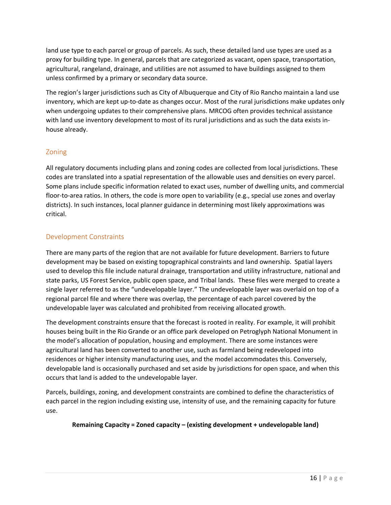land use type to each parcel or group of parcels. As such, these detailed land use types are used as a proxy for building type. In general, parcels that are categorized as vacant, open space, transportation, agricultural, rangeland, drainage, and utilities are not assumed to have buildings assigned to them unless confirmed by a primary or secondary data source.

The region's larger jurisdictions such as City of Albuquerque and City of Rio Rancho maintain a land use inventory, which are kept up-to-date as changes occur. Most of the rural jurisdictions make updates only when undergoing updates to their comprehensive plans. MRCOG often provides technical assistance with land use inventory development to most of its rural jurisdictions and as such the data exists inhouse already.

#### <span id="page-16-0"></span>Zoning

All regulatory documents including plans and zoning codes are collected from local jurisdictions. These codes are translated into a spatial representation of the allowable uses and densities on every parcel. Some plans include specific information related to exact uses, number of dwelling units, and commercial floor-to-area ratios. In others, the code is more open to variability (e.g., special use zones and overlay districts). In such instances, local planner guidance in determining most likely approximations was critical.

#### <span id="page-16-1"></span>Development Constraints

There are many parts of the region that are not available for future development. Barriers to future development may be based on existing topographical constraints and land ownership. Spatial layers used to develop this file include natural drainage, transportation and utility infrastructure, national and state parks, US Forest Service, public open space, and Tribal lands. These files were merged to create a single layer referred to as the "undevelopable layer." The undevelopable layer was overlaid on top of a regional parcel file and where there was overlap, the percentage of each parcel covered by the undevelopable layer was calculated and prohibited from receiving allocated growth.

The development constraints ensure that the forecast is rooted in reality. For example, it will prohibit houses being built in the Rio Grande or an office park developed on Petroglyph National Monument in the model's allocation of population, housing and employment. There are some instances were agricultural land has been converted to another use, such as farmland being redeveloped into residences or higher intensity manufacturing uses, and the model accommodates this. Conversely, developable land is occasionally purchased and set aside by jurisdictions for open space, and when this occurs that land is added to the undevelopable layer.

Parcels, buildings, zoning, and development constraints are combined to define the characteristics of each parcel in the region including existing use, intensity of use, and the remaining capacity for future use.

#### **Remaining Capacity = Zoned capacity – (existing development + undevelopable land)**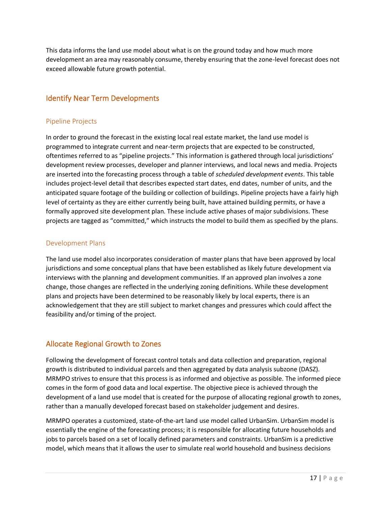This data informs the land use model about what is on the ground today and how much more development an area may reasonably consume, thereby ensuring that the zone-level forecast does not exceed allowable future growth potential.

# <span id="page-17-0"></span>Identify Near Term Developments

#### <span id="page-17-1"></span>Pipeline Projects

In order to ground the forecast in the existing local real estate market, the land use model is programmed to integrate current and near-term projects that are expected to be constructed, oftentimes referred to as "pipeline projects." This information is gathered through local jurisdictions' development review processes, developer and planner interviews, and local news and media. Projects are inserted into the forecasting process through a table of *scheduled development events*. This table includes project-level detail that describes expected start dates, end dates, number of units, and the anticipated square footage of the building or collection of buildings. Pipeline projects have a fairly high level of certainty as they are either currently being built, have attained building permits, or have a formally approved site development plan. These include active phases of major subdivisions. These projects are tagged as "committed," which instructs the model to build them as specified by the plans.

#### <span id="page-17-2"></span>Development Plans

The land use model also incorporates consideration of master plans that have been approved by local jurisdictions and some conceptual plans that have been established as likely future development via interviews with the planning and development communities. If an approved plan involves a zone change, those changes are reflected in the underlying zoning definitions. While these development plans and projects have been determined to be reasonably likely by local experts, there is an acknowledgement that they are still subject to market changes and pressures which could affect the feasibility and/or timing of the project.

# <span id="page-17-3"></span>Allocate Regional Growth to Zones

Following the development of forecast control totals and data collection and preparation, regional growth is distributed to individual parcels and then aggregated by data analysis subzone (DASZ). MRMPO strives to ensure that this process is as informed and objective as possible. The informed piece comes in the form of good data and local expertise. The objective piece is achieved through the development of a land use model that is created for the purpose of allocating regional growth to zones, rather than a manually developed forecast based on stakeholder judgement and desires.

MRMPO operates a customized, state-of-the-art land use model called UrbanSim. UrbanSim model is essentially the engine of the forecasting process; it is responsible for allocating future households and jobs to parcels based on a set of locally defined parameters and constraints. UrbanSim is a predictive model, which means that it allows the user to simulate real world household and business decisions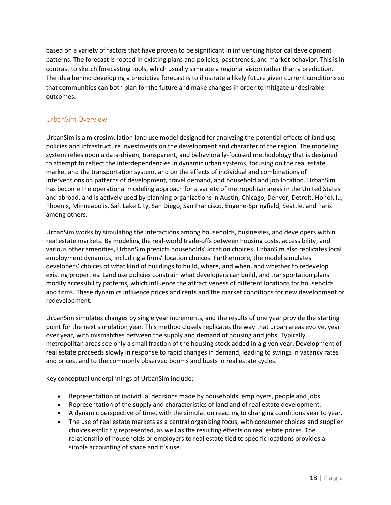based on a variety of factors that have proven to be significant in influencing historical development patterns. The forecast is rooted in existing plans and policies, past trends, and market behavior. This is in contrast to sketch forecasting tools, which usually simulate a regional vision rather than a prediction. The idea behind developing a predictive forecast is to illustrate a likely future given current conditions so that communities can both plan for the future and make changes in order to mitigate undesirable outcomes.

# <span id="page-18-0"></span>UrbanSim Overview

UrbanSim is a microsimulation land use model designed for analyzing the potential effects of land use policies and infrastructure investments on the development and character of the region. The modeling system relies upon a data-driven, transparent, and behaviorally-focused methodology that is designed to attempt to reflect the interdependencies in dynamic urban systems, focusing on the real estate market and the transportation system, and on the effects of individual and combinations of interventions on patterns of development, travel demand, and household and job location. UrbanSim has become the operational modeling approach for a variety of metropolitan areas in the United States and abroad, and is actively used by planning organizations in Austin, Chicago, Denver, Detroit, Honolulu, Phoenix, Minneapolis, Salt Lake City, San Diego, San Francisco, Eugene-Springfield, Seattle, and Paris among others.

UrbanSim works by simulating the interactions among households, businesses, and developers within real estate markets. By modeling the real-world trade-offs between housing costs, accessibility, and various other amenities, UrbanSim predicts households' location choices. UrbanSim also replicates local employment dynamics, including a firms' location choices. Furthermore, the model simulates developers' choices of what kind of buildings to build, where, and when, and whether to redevelop existing properties. Land use policies constrain what developers can build, and transportation plans modify accessibility patterns, which influence the attractiveness of different locations for households and firms. These dynamics influence prices and rents and the market conditions for new development or redevelopment.

UrbanSim simulates changes by single year increments, and the results of one year provide the starting point for the next simulation year. This method closely replicates the way that urban areas evolve, year over year, with mismatches between the supply and demand of housing and jobs. Typically, metropolitan areas see only a small fraction of the housing stock added in a given year. Development of real estate proceeds slowly in response to rapid changes in demand, leading to swings in vacancy rates and prices, and to the commonly observed booms and busts in real estate cycles.

Key conceptual underpinnings of UrbanSim include:

- Representation of individual decisions made by households, employers, people and jobs.
- Representation of the supply and characteristics of land and of real estate development.
- A dynamic perspective of time, with the simulation reacting to changing conditions year to year.
- The use of real estate markets as a central organizing focus, with consumer choices and supplier choices explicitly represented, as well as the resulting effects on real estate prices. The relationship of households or employers to real estate tied to specific locations provides a simple accounting of space and it's use.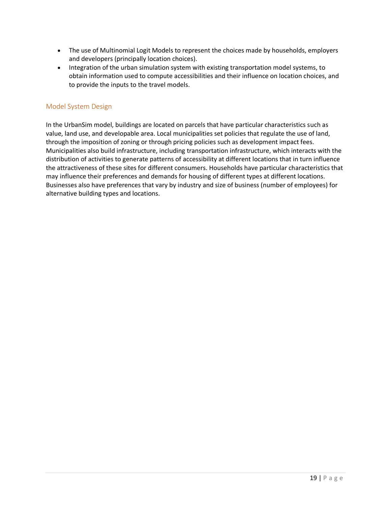- The use of Multinomial Logit Models to represent the choices made by households, employers and developers (principally location choices).
- Integration of the urban simulation system with existing transportation model systems, to obtain information used to compute accessibilities and their influence on location choices, and to provide the inputs to the travel models.

#### <span id="page-19-0"></span>Model System Design

In the UrbanSim model, buildings are located on parcels that have particular characteristics such as value, land use, and developable area. Local municipalities set policies that regulate the use of land, through the imposition of zoning or through pricing policies such as development impact fees. Municipalities also build infrastructure, including transportation infrastructure, which interacts with the distribution of activities to generate patterns of accessibility at different locations that in turn influence the attractiveness of these sites for different consumers. Households have particular characteristics that may influence their preferences and demands for housing of different types at different locations. Businesses also have preferences that vary by industry and size of business (number of employees) for alternative building types and locations.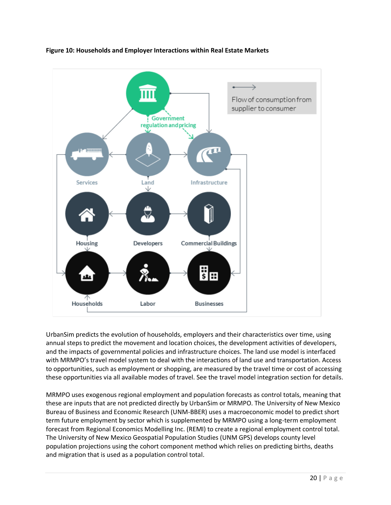

#### <span id="page-20-0"></span>**Figure 10: Households and Employer Interactions within Real Estate Markets**

UrbanSim predicts the evolution of households, employers and their characteristics over time, using annual steps to predict the movement and location choices, the development activities of developers, and the impacts of governmental policies and infrastructure choices. The land use model is interfaced with MRMPO's travel model system to deal with the interactions of land use and transportation. Access to opportunities, such as employment or shopping, are measured by the travel time or cost of accessing these opportunities via all available modes of travel. See the [travel model integration section](https://cloud.urbansim.com/docs/general/documentation/travel%20model%20integration.html#travel-model-integration-section) for details.

MRMPO uses exogenous regional employment and population forecasts as control totals, meaning that these are inputs that are not predicted directly by UrbanSim or MRMPO. The University of New Mexico Bureau of Business and Economic Research (UNM-BBER) uses a macroeconomic model to predict short term future employment by sector which is supplemented by MRMPO using a long-term employment forecast from Regional Economics Modelling Inc. (REMI) to create a regional employment control total. The University of New Mexico Geospatial Population Studies (UNM GPS) develops county level population projections using the cohort component method which relies on predicting births, deaths and migration that is used as a population control total.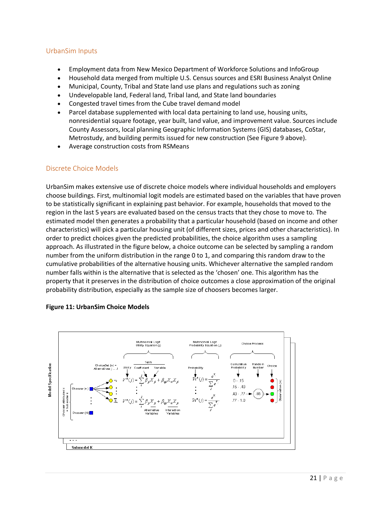#### <span id="page-21-0"></span>UrbanSim Inputs

- Employment data from New Mexico Department of Workforce Solutions and InfoGroup
- Household data merged from multiple U.S. Census sources and ESRI Business Analyst Online
- Municipal, County, Tribal and State land use plans and regulations such as zoning
- Undevelopable land, Federal land, Tribal land, and State land boundaries
- Congested travel times from the Cube travel demand model
- Parcel database supplemented with local data pertaining to land use, housing units, nonresidential square footage, year built, land value, and improvement value. Sources include County Assessors, local planning Geographic Information Systems (GIS) databases, CoStar, Metrostudy, and building permits issued for new construction (See Figure 9 above).
- Average construction costs from RSMeans

#### <span id="page-21-1"></span>Discrete Choice Models

UrbanSim makes extensive use of discrete choice models where individual households and employers choose buildings. First, multinomial logit models are estimated based on the variables that have proven to be statistically significant in explaining past behavior. For example, households that moved to the region in the last 5 years are evaluated based on the census tracts that they chose to move to. The estimated model then generates a probability that a particular household (based on income and other characteristics) will pick a particular housing unit (of different sizes, prices and other characteristics). In order to predict choices given the predicted probabilities, the choice algorithm uses a sampling approach. As illustrated in the figure below, a choice outcome can be selected by sampling a random number from the uniform distribution in the range 0 to 1, and comparing this random draw to the cumulative probabilities of the alternative housing units. Whichever alternative the sampled random number falls within is the alternative that is selected as the 'chosen' one. This algorithm has the property that it preserves in the distribution of choice outcomes a close approximation of the original probability distribution, especially as the sample size of choosers becomes larger.



#### <span id="page-21-2"></span>**Figure 11: UrbanSim Choice Models**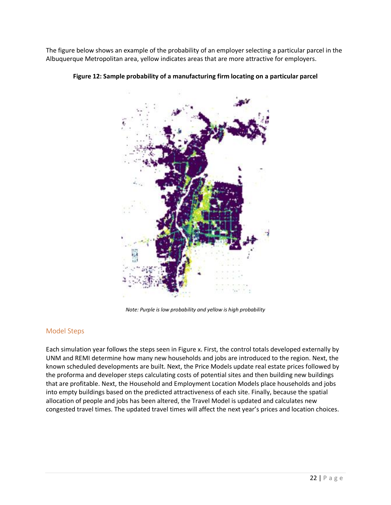<span id="page-22-1"></span>The figure below shows an example of the probability of an employer selecting a particular parcel in the Albuquerque Metropolitan area, yellow indicates areas that are more attractive for employers.



**Figure 12: Sample probability of a manufacturing firm locating on a particular parcel**

*Note: Purple is low probability and yellow is high probability*

#### <span id="page-22-0"></span>Model Steps

Each simulation year follows the steps seen in Figure x. First, the control totals developed externally by UNM and REMI determine how many new households and jobs are introduced to the region. Next, the known scheduled developments are built. Next, the Price Models update real estate prices followed by the proforma and developer steps calculating costs of potential sites and then building new buildings that are profitable. Next, the Household and Employment Location Models place households and jobs into empty buildings based on the predicted attractiveness of each site. Finally, because the spatial allocation of people and jobs has been altered, the Travel Model is updated and calculates new congested travel times. The updated travel times will affect the next year's prices and location choices.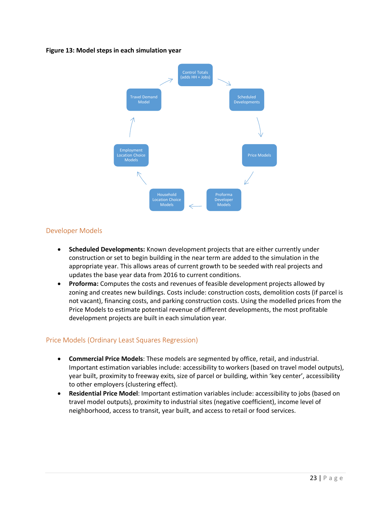#### <span id="page-23-2"></span>**Figure 13: Model steps in each simulation year**



#### <span id="page-23-0"></span>Developer Models

- **Scheduled Developments:** Known development projects that are either currently under construction or set to begin building in the near term are added to the simulation in the appropriate year. This allows areas of current growth to be seeded with real projects and updates the base year data from 2016 to current conditions.
- **Proforma:** Computes the costs and revenues of feasible development projects allowed by zoning and creates new buildings. Costs include: construction costs, demolition costs (if parcel is not vacant), financing costs, and parking construction costs. Using the modelled prices from the Price Models to estimate potential revenue of different developments, the most profitable development projects are built in each simulation year.

# <span id="page-23-1"></span>Price Models (Ordinary Least Squares Regression)

- **Commercial Price Models**: These models are segmented by office, retail, and industrial. Important estimation variables include: accessibility to workers (based on travel model outputs), year built, proximity to freeway exits, size of parcel or building, within 'key center', accessibility to other employers (clustering effect).
- **Residential Price Model**: Important estimation variables include: accessibility to jobs (based on travel model outputs), proximity to industrial sites (negative coefficient), income level of neighborhood, access to transit, year built, and access to retail or food services.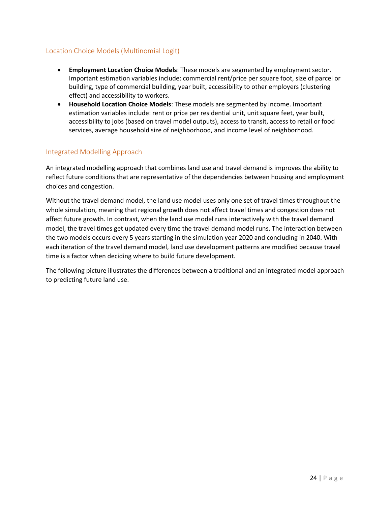# <span id="page-24-0"></span>Location Choice Models (Multinomial Logit)

- **Employment Location Choice Models**: These models are segmented by employment sector. Important estimation variables include: commercial rent/price per square foot, size of parcel or building, type of commercial building, year built, accessibility to other employers (clustering effect) and accessibility to workers.
- **Household Location Choice Models**: These models are segmented by income. Important estimation variables include: rent or price per residential unit, unit square feet, year built, accessibility to jobs (based on travel model outputs), access to transit, access to retail or food services, average household size of neighborhood, and income level of neighborhood.

#### <span id="page-24-1"></span>Integrated Modelling Approach

An integrated modelling approach that combines land use and travel demand is improves the ability to reflect future conditions that are representative of the dependencies between housing and employment choices and congestion.

Without the travel demand model, the land use model uses only one set of travel times throughout the whole simulation, meaning that regional growth does not affect travel times and congestion does not affect future growth. In contrast, when the land use model runs interactively with the travel demand model, the travel times get updated every time the travel demand model runs. The interaction between the two models occurs every 5 years starting in the simulation year 2020 and concluding in 2040. With each iteration of the travel demand model, land use development patterns are modified because travel time is a factor when deciding where to build future development.

The following picture illustrates the differences between a traditional and an integrated model approach to predicting future land use.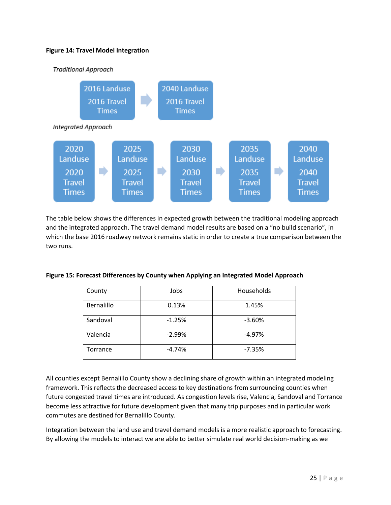#### <span id="page-25-0"></span>**Figure 14: Travel Model Integration**

![](_page_25_Figure_1.jpeg)

The table below shows the differences in expected growth between the traditional modeling approach and the integrated approach. The travel demand model results are based on a "no build scenario", in which the base 2016 roadway network remains static in order to create a true comparison between the two runs.

| County     | Jobs     | Households |
|------------|----------|------------|
| Bernalillo | 0.13%    | 1.45%      |
| Sandoval   | $-1.25%$ | $-3.60%$   |
| Valencia   | $-2.99%$ | $-4.97%$   |
| Torrance   | $-4.74%$ | $-7.35%$   |

#### <span id="page-25-1"></span>**Figure 15: Forecast Differences by County when Applying an Integrated Model Approach**

All counties except Bernalillo County show a declining share of growth within an integrated modeling framework. This reflects the decreased access to key destinations from surrounding counties when future congested travel times are introduced. As congestion levels rise, Valencia, Sandoval and Torrance become less attractive for future development given that many trip purposes and in particular work commutes are destined for Bernalillo County.

Integration between the land use and travel demand models is a more realistic approach to forecasting. By allowing the models to interact we are able to better simulate real world decision-making as we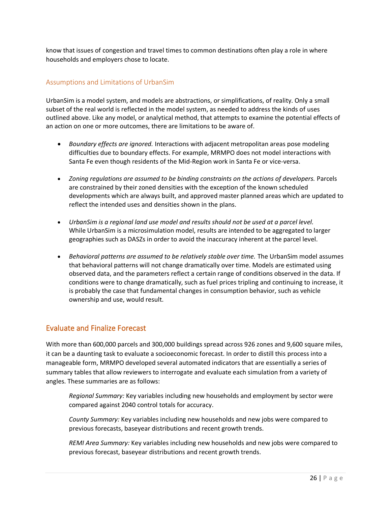know that issues of congestion and travel times to common destinations often play a role in where households and employers chose to locate.

### <span id="page-26-0"></span>Assumptions and Limitations of UrbanSim

UrbanSim is a model system, and models are abstractions, or simplifications, of reality. Only a small subset of the real world is reflected in the model system, as needed to address the kinds of uses outlined above. Like any model, or analytical method, that attempts to examine the potential effects of an action on one or more outcomes, there are limitations to be aware of.

- *Boundary effects are ignored.* Interactions with adjacent metropolitan areas pose modeling difficulties due to boundary effects. For example, MRMPO does not model interactions with Santa Fe even though residents of the Mid-Region work in Santa Fe or vice-versa.
- *Zoning regulations are assumed to be binding constraints on the actions of developers.* Parcels are constrained by their zoned densities with the exception of the known scheduled developments which are always built, and approved master planned areas which are updated to reflect the intended uses and densities shown in the plans.
- *UrbanSim is a regional land use model and results should not be used at a parcel level.*  While UrbanSim is a microsimulation model, results are intended to be aggregated to larger geographies such as DASZs in order to avoid the inaccuracy inherent at the parcel level.
- *Behavioral patterns are assumed to be relatively stable over time.* The UrbanSim model assumes that behavioral patterns will not change dramatically over time. Models are estimated using observed data, and the parameters reflect a certain range of conditions observed in the data. If conditions were to change dramatically, such as fuel prices tripling and continuing to increase, it is probably the case that fundamental changes in consumption behavior, such as vehicle ownership and use, would result.

# <span id="page-26-1"></span>Evaluate and Finalize Forecast

With more than 600,000 parcels and 300,000 buildings spread across 926 zones and 9,600 square miles, it can be a daunting task to evaluate a socioeconomic forecast. In order to distill this process into a manageable form, MRMPO developed several automated indicators that are essentially a series of summary tables that allow reviewers to interrogate and evaluate each simulation from a variety of angles. These summaries are as follows:

*Regional Summary:* Key variables including new households and employment by sector were compared against 2040 control totals for accuracy.

*County Summary:* Key variables including new households and new jobs were compared to previous forecasts, baseyear distributions and recent growth trends.

*REMI Area Summary:* Key variables including new households and new jobs were compared to previous forecast, baseyear distributions and recent growth trends.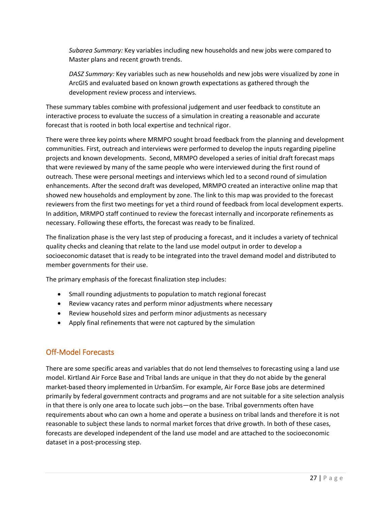*Subarea Summary:* Key variables including new households and new jobs were compared to Master plans and recent growth trends.

*DASZ Summary:* Key variables such as new households and new jobs were visualized by zone in ArcGIS and evaluated based on known growth expectations as gathered through the development review process and interviews.

These summary tables combine with professional judgement and user feedback to constitute an interactive process to evaluate the success of a simulation in creating a reasonable and accurate forecast that is rooted in both local expertise and technical rigor.

There were three key points where MRMPO sought broad feedback from the planning and development communities. First, outreach and interviews were performed to develop the inputs regarding pipeline projects and known developments. Second, MRMPO developed a series of initial draft forecast maps that were reviewed by many of the same people who were interviewed during the first round of outreach. These were personal meetings and interviews which led to a second round of simulation enhancements. After the second draft was developed, MRMPO created an interactive online map that showed new households and employment by zone. The link to this map was provided to the forecast reviewers from the first two meetings for yet a third round of feedback from local development experts. In addition, MRMPO staff continued to review the forecast internally and incorporate refinements as necessary. Following these efforts, the forecast was ready to be finalized.

The finalization phase is the very last step of producing a forecast, and it includes a variety of technical quality checks and cleaning that relate to the land use model output in order to develop a socioeconomic dataset that is ready to be integrated into the travel demand model and distributed to member governments for their use.

The primary emphasis of the forecast finalization step includes:

- Small rounding adjustments to population to match regional forecast
- Review vacancy rates and perform minor adjustments where necessary
- Review household sizes and perform minor adjustments as necessary
- Apply final refinements that were not captured by the simulation

# <span id="page-27-0"></span>Off-Model Forecasts

There are some specific areas and variables that do not lend themselves to forecasting using a land use model. Kirtland Air Force Base and Tribal lands are unique in that they do not abide by the general market-based theory implemented in UrbanSim. For example, Air Force Base jobs are determined primarily by federal government contracts and programs and are not suitable for a site selection analysis in that there is only one area to locate such jobs—on the base. Tribal governments often have requirements about who can own a home and operate a business on tribal lands and therefore it is not reasonable to subject these lands to normal market forces that drive growth. In both of these cases, forecasts are developed independent of the land use model and are attached to the socioeconomic dataset in a post-processing step.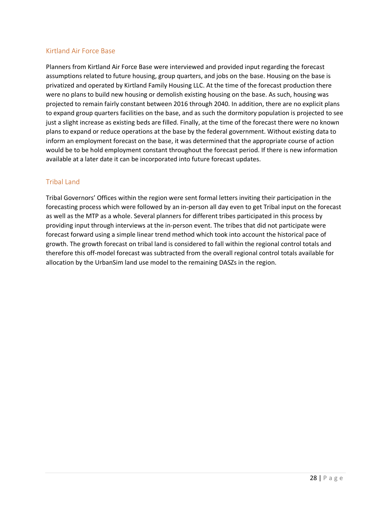#### <span id="page-28-0"></span>Kirtland Air Force Base

Planners from Kirtland Air Force Base were interviewed and provided input regarding the forecast assumptions related to future housing, group quarters, and jobs on the base. Housing on the base is privatized and operated by Kirtland Family Housing LLC. At the time of the forecast production there were no plans to build new housing or demolish existing housing on the base. As such, housing was projected to remain fairly constant between 2016 through 2040. In addition, there are no explicit plans to expand group quarters facilities on the base, and as such the dormitory population is projected to see just a slight increase as existing beds are filled. Finally, at the time of the forecast there were no known plans to expand or reduce operations at the base by the federal government. Without existing data to inform an employment forecast on the base, it was determined that the appropriate course of action would be to be hold employment constant throughout the forecast period. If there is new information available at a later date it can be incorporated into future forecast updates.

#### <span id="page-28-1"></span>Tribal Land

Tribal Governors' Offices within the region were sent formal letters inviting their participation in the forecasting process which were followed by an in-person all day even to get Tribal input on the forecast as well as the MTP as a whole. Several planners for different tribes participated in this process by providing input through interviews at the in-person event. The tribes that did not participate were forecast forward using a simple linear trend method which took into account the historical pace of growth. The growth forecast on tribal land is considered to fall within the regional control totals and therefore this off-model forecast was subtracted from the overall regional control totals available for allocation by the UrbanSim land use model to the remaining DASZs in the region.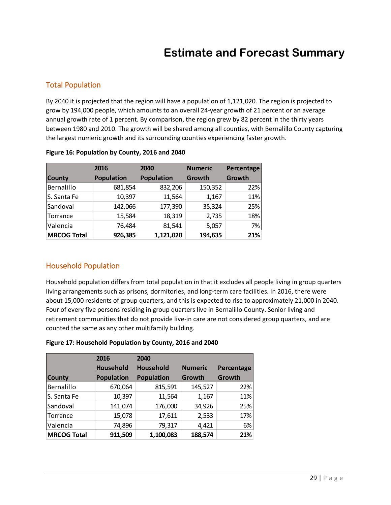# **Estimate and Forecast Summary**

# <span id="page-29-1"></span><span id="page-29-0"></span>Total Population

By 2040 it is projected that the region will have a population of 1,121,020. The region is projected to grow by 194,000 people, which amounts to an overall 24-year growth of 21 percent or an average annual growth rate of 1 percent. By comparison, the region grew by 82 percent in the thirty years between 1980 and 2010. The growth will be shared among all counties, with Bernalillo County capturing the largest numeric growth and its surrounding counties experiencing faster growth.

|                    | 2016              | 2040              | <b>Numeric</b> | Percentage |
|--------------------|-------------------|-------------------|----------------|------------|
| <b>County</b>      | <b>Population</b> | <b>Population</b> | Growth         | Growth     |
| Bernalillo         | 681,854           | 832,206           | 150,352        | 22%        |
| S. Santa Fe        | 10,397            | 11,564            | 1,167          | 11%        |
| Sandoval           | 142,066           | 177,390           | 35,324         | 25%        |
| Torrance           | 15,584            | 18,319            | 2,735          | 18%        |
| Valencia           | 76,484            | 81,541            | 5,057          | 7%         |
| <b>MRCOG Total</b> | 926,385           | 1,121,020         | 194,635        | 21%        |

#### <span id="page-29-3"></span>**Figure 16: Population by County, 2016 and 2040**

# <span id="page-29-2"></span>Household Population

Household population differs from total population in that it excludes all people living in group quarters living arrangements such as prisons, dormitories, and long-term care facilities. In 2016, there were about 15,000 residents of group quarters, and this is expected to rise to approximately 21,000 in 2040. Four of every five persons residing in group quarters live in Bernalillo County. Senior living and retirement communities that do not provide live-in care are not considered group quarters, and are counted the same as any other multifamily building.

#### <span id="page-29-4"></span>**Figure 17: Household Population by County, 2016 and 2040**

|                    | 2016              | 2040              |                |            |
|--------------------|-------------------|-------------------|----------------|------------|
|                    | <b>Household</b>  | <b>Household</b>  | <b>Numeric</b> | Percentage |
| <b>County</b>      | <b>Population</b> | <b>Population</b> | Growth         | Growth     |
| Bernalillo         | 670,064           | 815,591           | 145,527        | 22%        |
| S. Santa Fe        | 10,397            | 11,564            | 1,167          | 11%        |
| Sandoval           | 141,074           | 176,000           | 34,926         | 25%        |
| Torrance           | 15,078            | 17,611            | 2,533          | 17%        |
| Valencia           | 74,896            | 79,317            | 4,421          | 6%         |
| <b>MRCOG Total</b> | 911,509           | 1,100,083         | 188,574        | 21%        |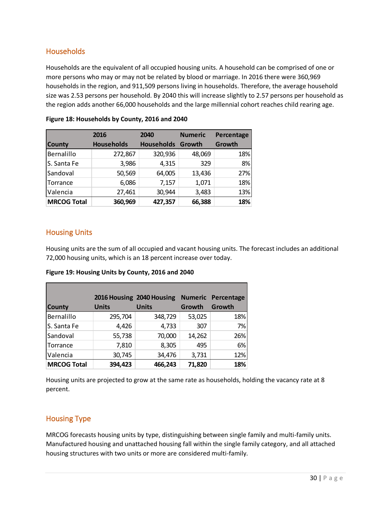# <span id="page-30-0"></span>**Households**

Households are the equivalent of all occupied housing units. A household can be comprised of one or more persons who may or may not be related by blood or marriage. In 2016 there were 360,969 households in the region, and 911,509 persons living in households. Therefore, the average household size was 2.53 persons per household. By 2040 this will increase slightly to 2.57 persons per household as the region adds another 66,000 households and the large millennial cohort reaches child rearing age.

|                    | 2016              | 2040              | <b>Numeric</b> | Percentage |
|--------------------|-------------------|-------------------|----------------|------------|
| <b>County</b>      | <b>Households</b> | <b>Households</b> | Growth         | Growth     |
| Bernalillo         | 272,867           | 320,936           | 48,069         | 18%        |
| S. Santa Fe        | 3,986             | 4,315             | 329            | 8%         |
| Sandoval           | 50,569            | 64,005            | 13,436         | 27%        |
| Torrance           | 6,086             | 7,157             | 1,071          | 18%        |
| Valencia           | 27,461            | 30,944            | 3,483          | 13%        |
| <b>MRCOG Total</b> | 360,969           | 427,357           | 66,388         | 18%        |

<span id="page-30-3"></span>

#### <span id="page-30-1"></span>Housing Units

Housing units are the sum of all occupied and vacant housing units. The forecast includes an additional 72,000 housing units, which is an 18 percent increase over today.

<span id="page-30-4"></span>**Figure 19: Housing Units by County, 2016 and 2040**

|                    |              | 2016 Housing 2040 Housing |        | <b>Numeric Percentage</b> |
|--------------------|--------------|---------------------------|--------|---------------------------|
| <b>County</b>      | <b>Units</b> | <b>Units</b>              | Growth | Growth                    |
| Bernalillo         | 295,704      | 348,729                   | 53,025 | 18%                       |
| S. Santa Fe        | 4,426        | 4,733                     | 307    | 7%                        |
| Sandoval           | 55,738       | 70,000                    | 14,262 | 26%                       |
| Torrance           | 7,810        | 8,305                     | 495    | 6%                        |
| Valencia           | 30,745       | 34,476                    | 3,731  | 12%                       |
| <b>MRCOG Total</b> | 394,423      | 466,243                   | 71,820 | 18%                       |

Housing units are projected to grow at the same rate as households, holding the vacancy rate at 8 percent.

# <span id="page-30-2"></span>Housing Type

MRCOG forecasts housing units by type, distinguishing between single family and multi-family units. Manufactured housing and unattached housing fall within the single family category, and all attached housing structures with two units or more are considered multi-family.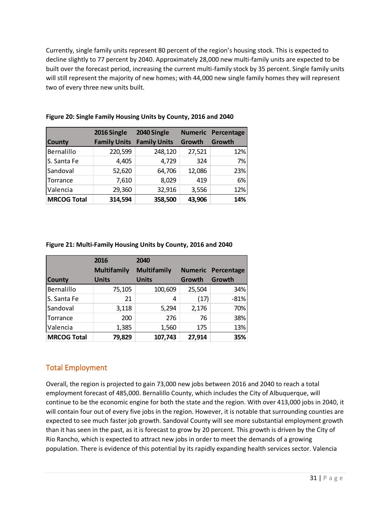Currently, single family units represent 80 percent of the region's housing stock. This is expected to decline slightly to 77 percent by 2040. Approximately 28,000 new multi-family units are expected to be built over the forecast period, increasing the current multi-family stock by 35 percent. Single family units will still represent the majority of new homes; with 44,000 new single family homes they will represent two of every three new units built.

|                    | 2016 Single         | 2040 Single         |        | <b>Numeric Percentage</b> |
|--------------------|---------------------|---------------------|--------|---------------------------|
| <b>County</b>      | <b>Family Units</b> | <b>Family Units</b> | Growth | Growth                    |
| Bernalillo         | 220,599             | 248,120             | 27,521 | 12%                       |
| S. Santa Fe        | 4,405               | 4,729               | 324    | 7%                        |
| Sandoval           | 52,620              | 64,706              | 12,086 | 23%                       |
| Torrance           | 7,610               | 8,029               | 419    | 6%                        |
| Valencia           | 29,360              | 32,916              | 3,556  | 12%                       |
| <b>MRCOG Total</b> | 314,594             | 358,500             | 43,906 | 14%                       |

#### <span id="page-31-1"></span>**Figure 20: Single Family Housing Units by County, 2016 and 2040**

#### <span id="page-31-2"></span>**Figure 21: Multi-Family Housing Units by County, 2016 and 2040**

|                    | 2016               | 2040               |        |                           |
|--------------------|--------------------|--------------------|--------|---------------------------|
|                    | <b>Multifamily</b> | <b>Multifamily</b> |        | <b>Numeric Percentage</b> |
| <b>County</b>      | <b>Units</b>       | <b>Units</b>       | Growth | Growth                    |
| Bernalillo         | 75,105             | 100,609            | 25,504 | 34%                       |
| S. Santa Fe        | 21                 | 4                  | (17)   | $-81%$                    |
| Sandoval           | 3,118              | 5,294              | 2,176  | 70%                       |
| Torrance           | 200                | 276                | 76     | 38%                       |
| Valencia           | 1,385              | 1,560              | 175    | 13%                       |
| <b>MRCOG Total</b> | 79,829             | 107,743            | 27,914 | 35%                       |

# <span id="page-31-0"></span>Total Employment

Overall, the region is projected to gain 73,000 new jobs between 2016 and 2040 to reach a total employment forecast of 485,000. Bernalillo County, which includes the City of Albuquerque, will continue to be the economic engine for both the state and the region. With over 413,000 jobs in 2040, it will contain four out of every five jobs in the region. However, it is notable that surrounding counties are expected to see much faster job growth. Sandoval County will see more substantial employment growth than it has seen in the past, as it is forecast to grow by 20 percent. This growth is driven by the City of Rio Rancho, which is expected to attract new jobs in order to meet the demands of a growing population. There is evidence of this potential by its rapidly expanding health services sector. Valencia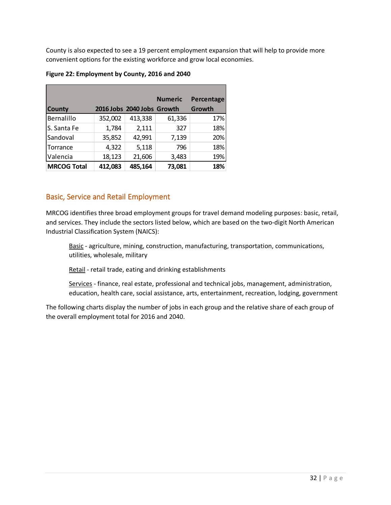County is also expected to see a 19 percent employment expansion that will help to provide more convenient options for the existing workforce and grow local economies.

<span id="page-32-1"></span>

| Figure 22: Employment by County, 2016 and 2040 |
|------------------------------------------------|
|------------------------------------------------|

|                    |         |                            | <b>Numeric</b> | Percentage |
|--------------------|---------|----------------------------|----------------|------------|
| <b>County</b>      |         | 2016 Jobs 2040 Jobs Growth |                | Growth     |
| Bernalillo         | 352,002 | 413,338                    | 61,336         | 17%        |
| S. Santa Fe        | 1,784   | 2,111                      | 327            | 18%        |
| Sandoval           | 35,852  | 42,991                     | 7,139          | 20%        |
| Torrance           | 4,322   | 5,118                      | 796            | 18%        |
| Valencia           | 18,123  | 21,606                     | 3,483          | 19%        |
| <b>MRCOG Total</b> | 412,083 | 485,164                    | 73,081         | 18%        |

# <span id="page-32-0"></span>Basic, Service and Retail Employment

MRCOG identifies three broad employment groups for travel demand modeling purposes: basic, retail, and services. They include the sectors listed below, which are based on the two-digit North American Industrial Classification System (NAICS):

Basic - agriculture, mining, construction, manufacturing, transportation, communications, utilities, wholesale, military

Retail - retail trade, eating and drinking establishments

Services - finance, real estate, professional and technical jobs, management, administration, education, health care, social assistance, arts, entertainment, recreation, lodging, government

The following charts display the number of jobs in each group and the relative share of each group of the overall employment total for 2016 and 2040.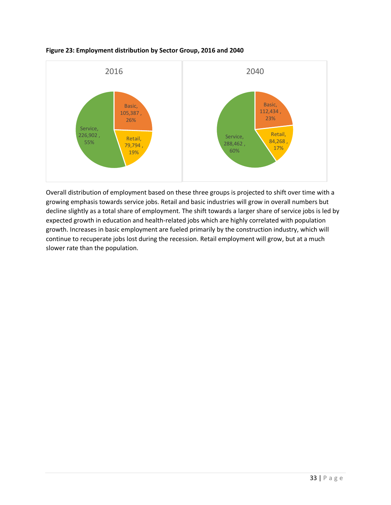![](_page_33_Figure_0.jpeg)

#### <span id="page-33-0"></span>**Figure 23: Employment distribution by Sector Group, 2016 and 2040**

Overall distribution of employment based on these three groups is projected to shift over time with a growing emphasis towards service jobs. Retail and basic industries will grow in overall numbers but decline slightly as a total share of employment. The shift towards a larger share of service jobs is led by expected growth in education and health-related jobs which are highly correlated with population growth. Increases in basic employment are fueled primarily by the construction industry, which will continue to recuperate jobs lost during the recession. Retail employment will grow, but at a much slower rate than the population.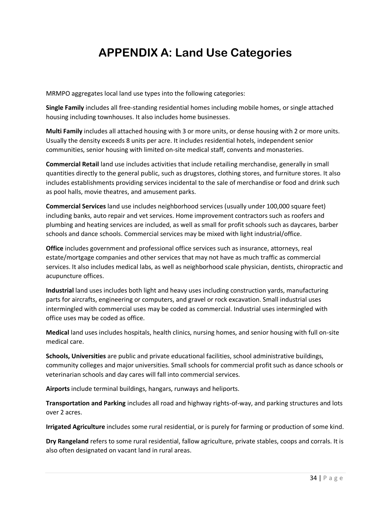# **APPENDIX A: Land Use Categories**

<span id="page-34-0"></span>MRMPO aggregates local land use types into the following categories:

**Single Family** includes all free-standing residential homes including mobile homes, or single attached housing including townhouses. It also includes home businesses.

**Multi Family** includes all attached housing with 3 or more units, or dense housing with 2 or more units. Usually the density exceeds 8 units per acre. It includes residential hotels, independent senior communities, senior housing with limited on-site medical staff, convents and monasteries.

**Commercial Retail** land use includes activities that include retailing merchandise, generally in small quantities directly to the general public, such as drugstores, clothing stores, and furniture stores. It also includes establishments providing services incidental to the sale of merchandise or food and drink such as pool halls, movie theatres, and amusement parks.

**Commercial Services** land use includes neighborhood services (usually under 100,000 square feet) including banks, auto repair and vet services. Home improvement contractors such as roofers and plumbing and heating services are included, as well as small for profit schools such as daycares, barber schools and dance schools. Commercial services may be mixed with light industrial/office.

**Office** includes government and professional office services such as insurance, attorneys, real estate/mortgage companies and other services that may not have as much traffic as commercial services. It also includes medical labs, as well as neighborhood scale physician, dentists, chiropractic and acupuncture offices.

**Industrial** land uses includes both light and heavy uses including construction yards, manufacturing parts for aircrafts, engineering or computers, and gravel or rock excavation. Small industrial uses intermingled with commercial uses may be coded as commercial. Industrial uses intermingled with office uses may be coded as office.

**Medical** land uses includes hospitals, health clinics, nursing homes, and senior housing with full on-site medical care.

**Schools, Universities** are public and private educational facilities, school administrative buildings, community colleges and major universities. Small schools for commercial profit such as dance schools or veterinarian schools and day cares will fall into commercial services.

**Airports** include terminal buildings, hangars, runways and heliports.

**Transportation and Parking** includes all road and highway rights-of-way, and parking structures and lots over 2 acres.

**Irrigated Agriculture** includes some rural residential, or is purely for farming or production of some kind.

**Dry Rangeland** refers to some rural residential, fallow agriculture, private stables, coops and corrals. It is also often designated on vacant land in rural areas.